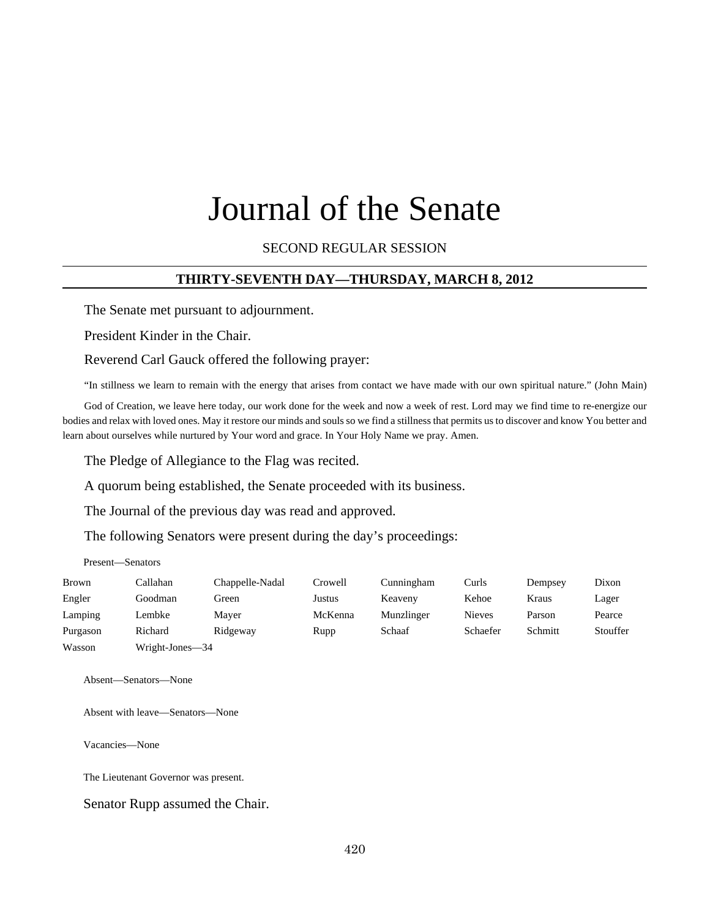# Journal of the Senate

SECOND REGULAR SESSION

#### **THIRTY-SEVENTH DAY—THURSDAY, MARCH 8, 2012**

The Senate met pursuant to adjournment.

President Kinder in the Chair.

Reverend Carl Gauck offered the following prayer:

"In stillness we learn to remain with the energy that arises from contact we have made with our own spiritual nature." (John Main)

God of Creation, we leave here today, our work done for the week and now a week of rest. Lord may we find time to re-energize our bodies and relax with loved ones. May it restore our minds and souls so we find a stillness that permits us to discover and know You better and learn about ourselves while nurtured by Your word and grace. In Your Holy Name we pray. Amen.

The Pledge of Allegiance to the Flag was recited.

A quorum being established, the Senate proceeded with its business.

The Journal of the previous day was read and approved.

The following Senators were present during the day's proceedings:

Present—Senators

| Brown    | Callahan        | Chappelle-Nadal | Crowell | Cunningham | Curls         | Dempsey | Dixon    |
|----------|-----------------|-----------------|---------|------------|---------------|---------|----------|
| Engler   | Goodman         | Green           | Justus  | Keaveny    | Kehoe         | Kraus   | Lager    |
| Lamping  | Lembke          | Maver           | McKenna | Munzlinger | <b>Nieves</b> | Parson  | Pearce   |
| Purgason | Richard         | Ridgeway        | Rupp    | Schaaf     | Schaefer      | Schmitt | Stouffer |
| Wasson   | Wright-Jones—34 |                 |         |            |               |         |          |

Absent—Senators—None

Absent with leave—Senators—None

Vacancies—None

The Lieutenant Governor was present.

Senator Rupp assumed the Chair.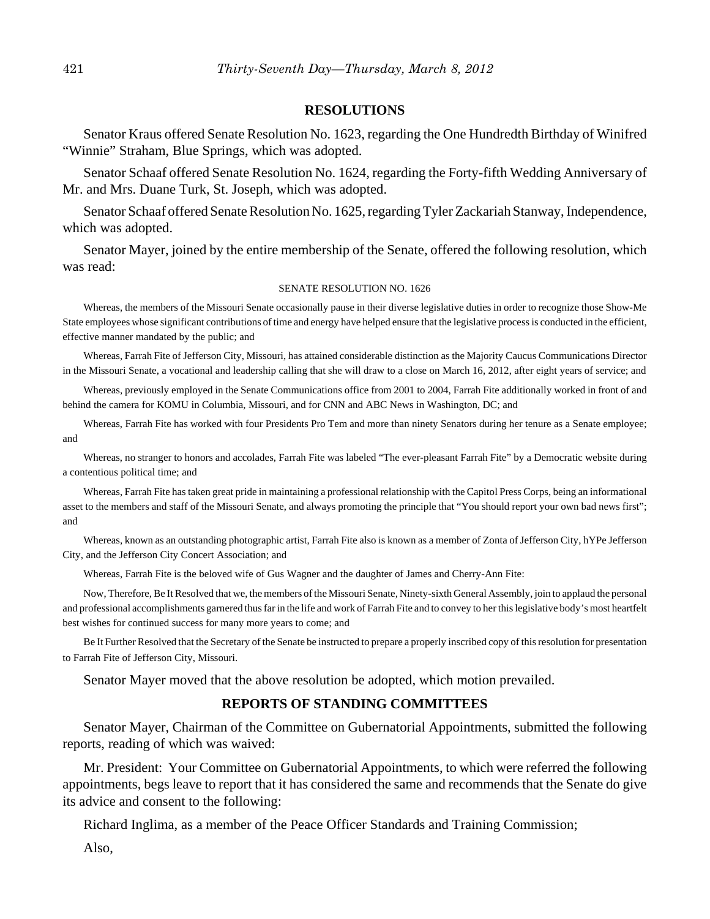#### **RESOLUTIONS**

Senator Kraus offered Senate Resolution No. 1623, regarding the One Hundredth Birthday of Winifred "Winnie" Straham, Blue Springs, which was adopted.

Senator Schaaf offered Senate Resolution No. 1624, regarding the Forty-fifth Wedding Anniversary of Mr. and Mrs. Duane Turk, St. Joseph, which was adopted.

Senator Schaaf offered Senate Resolution No. 1625, regarding Tyler Zackariah Stanway, Independence, which was adopted.

Senator Mayer, joined by the entire membership of the Senate, offered the following resolution, which was read:

#### SENATE RESOLUTION NO. 1626

Whereas, the members of the Missouri Senate occasionally pause in their diverse legislative duties in order to recognize those Show-Me State employees whose significant contributions of time and energy have helped ensure that the legislative process is conducted in the efficient, effective manner mandated by the public; and

Whereas, Farrah Fite of Jefferson City, Missouri, has attained considerable distinction as the Majority Caucus Communications Director in the Missouri Senate, a vocational and leadership calling that she will draw to a close on March 16, 2012, after eight years of service; and

Whereas, previously employed in the Senate Communications office from 2001 to 2004, Farrah Fite additionally worked in front of and behind the camera for KOMU in Columbia, Missouri, and for CNN and ABC News in Washington, DC; and

Whereas, Farrah Fite has worked with four Presidents Pro Tem and more than ninety Senators during her tenure as a Senate employee; and

Whereas, no stranger to honors and accolades, Farrah Fite was labeled "The ever-pleasant Farrah Fite" by a Democratic website during a contentious political time; and

Whereas, Farrah Fite has taken great pride in maintaining a professional relationship with the Capitol Press Corps, being an informational asset to the members and staff of the Missouri Senate, and always promoting the principle that "You should report your own bad news first"; and

Whereas, known as an outstanding photographic artist, Farrah Fite also is known as a member of Zonta of Jefferson City, hYPe Jefferson City, and the Jefferson City Concert Association; and

Whereas, Farrah Fite is the beloved wife of Gus Wagner and the daughter of James and Cherry-Ann Fite:

Now, Therefore, Be It Resolved that we, the members of the Missouri Senate, Ninety-sixth General Assembly, join to applaud the personal and professional accomplishments garnered thus far in the life and work of Farrah Fite and to convey to her this legislative body's most heartfelt best wishes for continued success for many more years to come; and

Be It Further Resolved that the Secretary of the Senate be instructed to prepare a properly inscribed copy of this resolution for presentation to Farrah Fite of Jefferson City, Missouri.

Senator Mayer moved that the above resolution be adopted, which motion prevailed.

#### **REPORTS OF STANDING COMMITTEES**

Senator Mayer, Chairman of the Committee on Gubernatorial Appointments, submitted the following reports, reading of which was waived:

Mr. President: Your Committee on Gubernatorial Appointments, to which were referred the following appointments, begs leave to report that it has considered the same and recommends that the Senate do give its advice and consent to the following:

Richard Inglima, as a member of the Peace Officer Standards and Training Commission;

Also,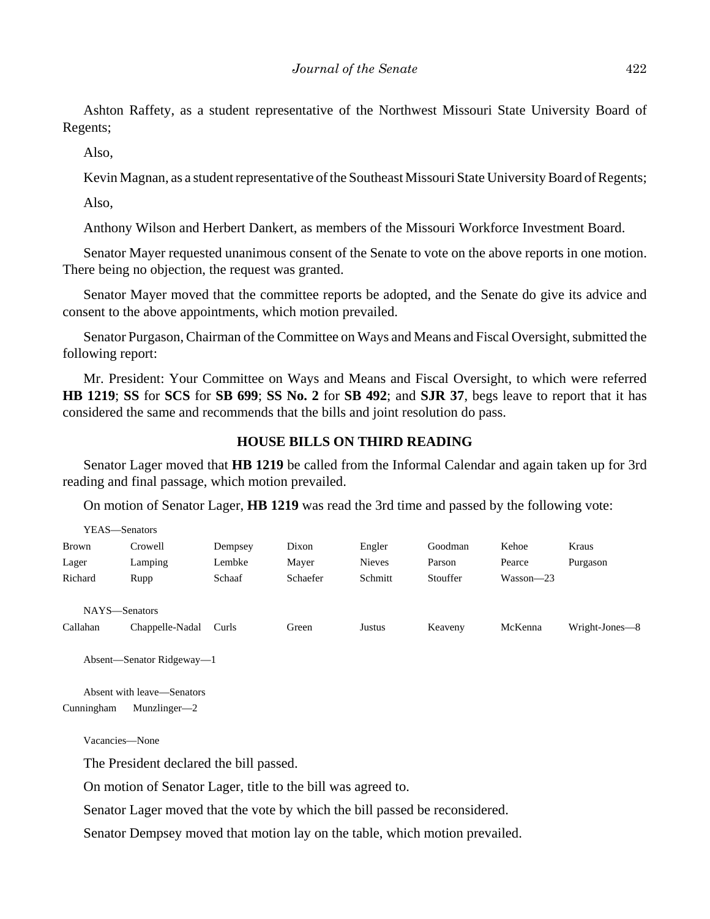Ashton Raffety, as a student representative of the Northwest Missouri State University Board of Regents;

Also,

Kevin Magnan, as a student representative of the Southeast Missouri State University Board of Regents;

Also,

Anthony Wilson and Herbert Dankert, as members of the Missouri Workforce Investment Board.

Senator Mayer requested unanimous consent of the Senate to vote on the above reports in one motion. There being no objection, the request was granted.

Senator Mayer moved that the committee reports be adopted, and the Senate do give its advice and consent to the above appointments, which motion prevailed.

Senator Purgason, Chairman of the Committee on Ways and Means and Fiscal Oversight, submitted the following report:

Mr. President: Your Committee on Ways and Means and Fiscal Oversight, to which were referred **HB 1219**; **SS** for **SCS** for **SB 699**; **SS No. 2** for **SB 492**; and **SJR 37**, begs leave to report that it has considered the same and recommends that the bills and joint resolution do pass.

#### **HOUSE BILLS ON THIRD READING**

Senator Lager moved that **HB 1219** be called from the Informal Calendar and again taken up for 3rd reading and final passage, which motion prevailed.

On motion of Senator Lager, **HB 1219** was read the 3rd time and passed by the following vote:

| YEAS—Senators |                 |         |          |               |          |             |                |
|---------------|-----------------|---------|----------|---------------|----------|-------------|----------------|
| <b>Brown</b>  | Crowell         | Dempsey | Dixon    | Engler        | Goodman  | Kehoe       | Kraus          |
| Lager         | Lamping         | Lembke  | Mayer    | <b>Nieves</b> | Parson   | Pearce      | Purgason       |
| Richard       | Rupp            | Schaaf  | Schaefer | Schmitt       | Stouffer | $Wasson-23$ |                |
| NAYS-Senators |                 |         |          |               |          |             |                |
| Callahan      | Chappelle-Nadal | Curls   | Green    | Justus        | Keaveny  | McKenna     | Wright-Jones—8 |

Absent—Senator Ridgeway—1

Absent with leave—Senators Cunningham Munzlinger—2

Vacancies—None

The President declared the bill passed.

On motion of Senator Lager, title to the bill was agreed to.

Senator Lager moved that the vote by which the bill passed be reconsidered.

Senator Dempsey moved that motion lay on the table, which motion prevailed.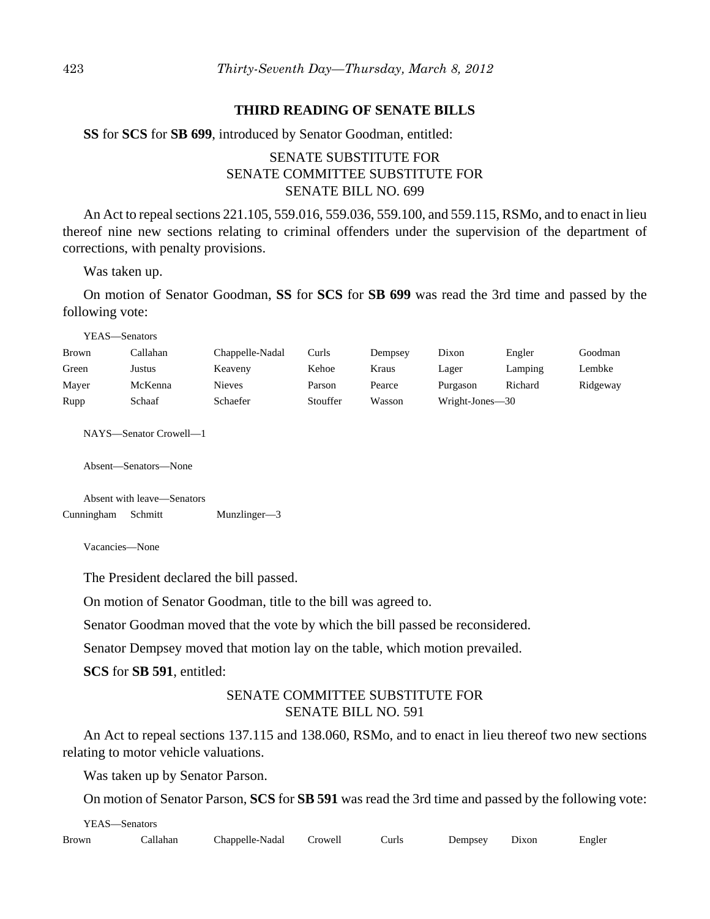#### **THIRD READING OF SENATE BILLS**

**SS** for **SCS** for **SB 699**, introduced by Senator Goodman, entitled:

# SENATE SUBSTITUTE FOR SENATE COMMITTEE SUBSTITUTE FOR SENATE BILL NO. 699

An Act to repeal sections 221.105, 559.016, 559.036, 559.100, and 559.115, RSMo, and to enact in lieu thereof nine new sections relating to criminal offenders under the supervision of the department of corrections, with penalty provisions.

Was taken up.

On motion of Senator Goodman, **SS** for **SCS** for **SB 699** was read the 3rd time and passed by the following vote:

YEAS—Senators

| <b>Brown</b> | `allahan | Chappelle-Nadal | Curls    | Dempsey | Dixon           | Engler  | Goodman  |
|--------------|----------|-----------------|----------|---------|-----------------|---------|----------|
| Green        | Justus   | Keaveny         | Kehoe    | Kraus   | Lager           | Lamping | Lembke   |
| Mayer        | McKenna  | Nieves          | Parson   | Pearce  | Purgason        | Richard | Ridgeway |
| Rupp         | Schaaf   | Schaefer        | Stouffer | Wasson  | Wright-Jones—30 |         |          |

NAYS—Senator Crowell—1

Absent—Senators—None

Absent with leave—Senators Cunningham Schmitt Munzlinger—3

Vacancies—None

The President declared the bill passed.

On motion of Senator Goodman, title to the bill was agreed to.

Senator Goodman moved that the vote by which the bill passed be reconsidered.

Senator Dempsey moved that motion lay on the table, which motion prevailed.

**SCS** for **SB 591**, entitled:

# SENATE COMMITTEE SUBSTITUTE FOR SENATE BILL NO. 591

An Act to repeal sections 137.115 and 138.060, RSMo, and to enact in lieu thereof two new sections relating to motor vehicle valuations.

Was taken up by Senator Parson.

On motion of Senator Parson, **SCS** for **SB 591** was read the 3rd time and passed by the following vote:

| YEAS—Senators |  |                                  |  |       |         |                |        |  |
|---------------|--|----------------------------------|--|-------|---------|----------------|--------|--|
| Brown         |  | Callahan Chappelle-Nadal Crowell |  | Curls | Dempsey | $\sim y$ Dixon | Engler |  |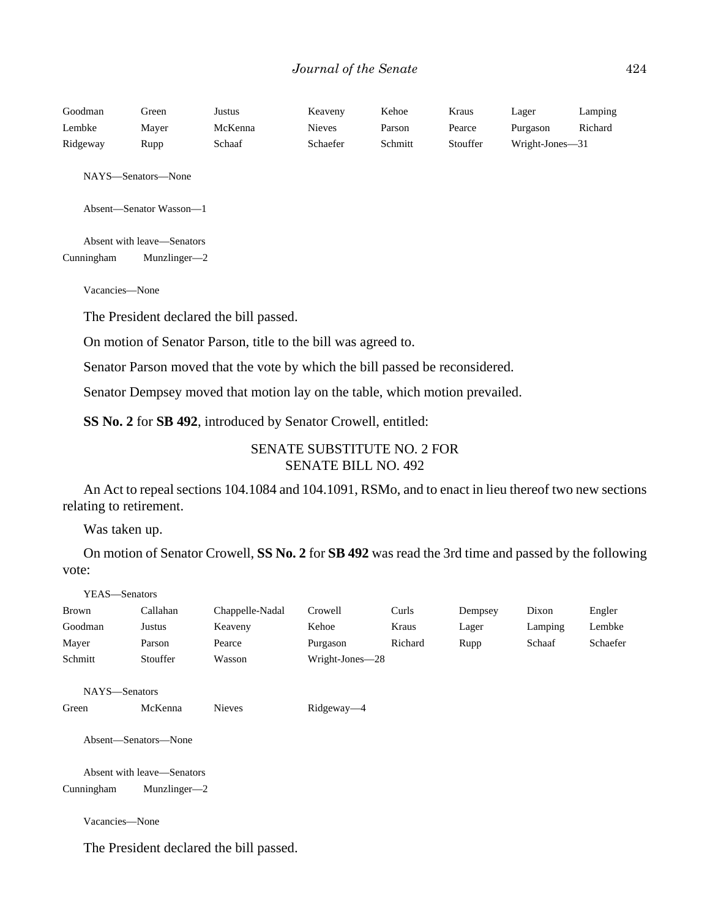| Goodman  | Green | Justus  | Keaveny  | Kehoe   | Kraus    | Lager           | Lamping |
|----------|-------|---------|----------|---------|----------|-----------------|---------|
| Lembke   | Maver | McKenna | Nieves   | Parson  | Pearce   | Purgason        | Richard |
| Ridgeway | Rupp  | Schaaf  | Schaefer | Schmitt | Stouffer | Wright-Jones—31 |         |

NAYS—Senators—None

Absent—Senator Wasson—1

Absent with leave—Senators Cunningham Munzlinger—2

Vacancies—None

The President declared the bill passed.

On motion of Senator Parson, title to the bill was agreed to.

Senator Parson moved that the vote by which the bill passed be reconsidered.

Senator Dempsey moved that motion lay on the table, which motion prevailed.

**SS No. 2** for **SB 492**, introduced by Senator Crowell, entitled:

# SENATE SUBSTITUTE NO. 2 FOR SENATE BILL NO. 492

An Act to repeal sections 104.1084 and 104.1091, RSMo, and to enact in lieu thereof two new sections relating to retirement.

Was taken up.

On motion of Senator Crowell, **SS No. 2** for **SB 492** was read the 3rd time and passed by the following vote:

| YEAS—Senators  |                            |                 |                 |         |         |         |          |
|----------------|----------------------------|-----------------|-----------------|---------|---------|---------|----------|
| <b>Brown</b>   | Callahan                   | Chappelle-Nadal | Crowell         | Curls   | Dempsey | Dixon   | Engler   |
| Goodman        | Justus                     | Keaveny         | Kehoe           | Kraus   | Lager   | Lamping | Lembke   |
| Mayer          | Parson                     | Pearce          | Purgason        | Richard | Rupp    | Schaaf  | Schaefer |
| Schmitt        | Stouffer                   | Wasson          | Wright-Jones-28 |         |         |         |          |
| NAYS-Senators  |                            |                 |                 |         |         |         |          |
| Green          | McKenna                    | <b>Nieves</b>   | Ridgeway-4      |         |         |         |          |
|                | Absent-Senators-None       |                 |                 |         |         |         |          |
|                | Absent with leave—Senators |                 |                 |         |         |         |          |
| Cunningham     | Munzlinger-2               |                 |                 |         |         |         |          |
| Vacancies-None |                            |                 |                 |         |         |         |          |

The President declared the bill passed.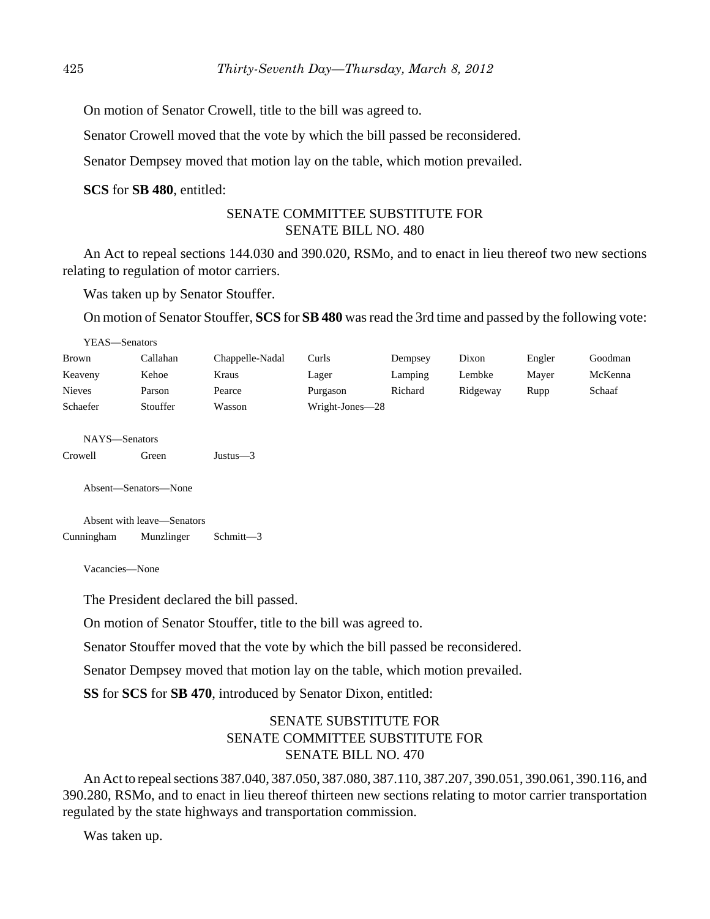On motion of Senator Crowell, title to the bill was agreed to.

Senator Crowell moved that the vote by which the bill passed be reconsidered.

Senator Dempsey moved that motion lay on the table, which motion prevailed.

**SCS** for **SB 480**, entitled:

# SENATE COMMITTEE SUBSTITUTE FOR SENATE BILL NO. 480

An Act to repeal sections 144.030 and 390.020, RSMo, and to enact in lieu thereof two new sections relating to regulation of motor carriers.

Was taken up by Senator Stouffer.

On motion of Senator Stouffer, **SCS** for **SB 480** was read the 3rd time and passed by the following vote:

| YEAS-Senators  |                            |                 |                 |         |          |        |         |
|----------------|----------------------------|-----------------|-----------------|---------|----------|--------|---------|
| <b>Brown</b>   | Callahan                   | Chappelle-Nadal | Curls           | Dempsey | Dixon    | Engler | Goodman |
| Keaveny        | Kehoe                      | Kraus           | Lager           | Lamping | Lembke   | Mayer  | McKenna |
| <b>Nieves</b>  | Parson                     | Pearce          | Purgason        | Richard | Ridgeway | Rupp   | Schaaf  |
| Schaefer       | Stouffer                   | Wasson          | Wright-Jones-28 |         |          |        |         |
| NAYS-Senators  |                            |                 |                 |         |          |        |         |
| Crowell        | Green                      | Justus $-3$     |                 |         |          |        |         |
|                | Absent-Senators-None       |                 |                 |         |          |        |         |
|                | Absent with leave—Senators |                 |                 |         |          |        |         |
| Cunningham     | Munzlinger                 | Schmitt-3       |                 |         |          |        |         |
| Vacancies-None |                            |                 |                 |         |          |        |         |

The President declared the bill passed.

On motion of Senator Stouffer, title to the bill was agreed to.

Senator Stouffer moved that the vote by which the bill passed be reconsidered.

Senator Dempsey moved that motion lay on the table, which motion prevailed.

**SS** for **SCS** for **SB 470**, introduced by Senator Dixon, entitled:

# SENATE SUBSTITUTE FOR SENATE COMMITTEE SUBSTITUTE FOR SENATE BILL NO. 470

An Act to repeal sections 387.040, 387.050, 387.080, 387.110, 387.207, 390.051, 390.061, 390.116, and 390.280, RSMo, and to enact in lieu thereof thirteen new sections relating to motor carrier transportation regulated by the state highways and transportation commission.

Was taken up.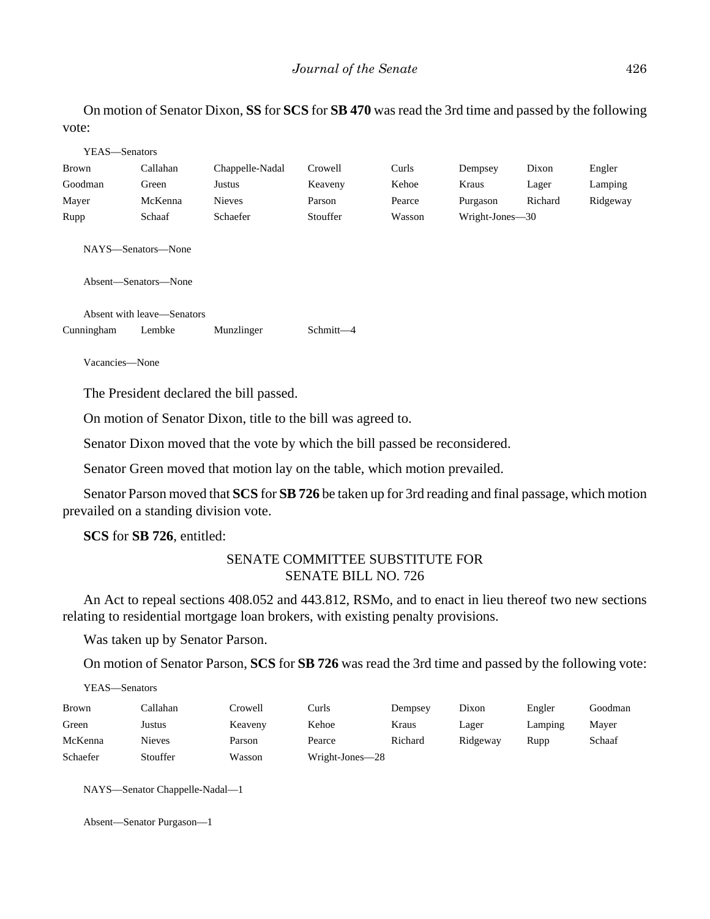On motion of Senator Dixon, **SS** for **SCS** for **SB 470** was read the 3rd time and passed by the following vote:

| YEAS—Senators      |                            |                 |           |        |                 |         |          |
|--------------------|----------------------------|-----------------|-----------|--------|-----------------|---------|----------|
| Brown              | Callahan                   | Chappelle-Nadal | Crowell   | Curls  | Dempsey         | Dixon   | Engler   |
| Goodman            | Green                      | Justus          | Keaveny   | Kehoe  | Kraus           | Lager   | Lamping  |
| Mayer              | McKenna                    | <b>Nieves</b>   | Parson    | Pearce | Purgason        | Richard | Ridgeway |
| Rupp               | Schaaf                     | Schaefer        | Stouffer  | Wasson | Wright-Jones-30 |         |          |
| NAYS—Senators—None | Absent—Senators—None       |                 |           |        |                 |         |          |
|                    | Absent with leave—Senators |                 |           |        |                 |         |          |
| Cunningham         | Lembke                     | Munzlinger      | Schmitt-4 |        |                 |         |          |
| Vacancies-None     |                            |                 |           |        |                 |         |          |

The President declared the bill passed.

On motion of Senator Dixon, title to the bill was agreed to.

Senator Dixon moved that the vote by which the bill passed be reconsidered.

Senator Green moved that motion lay on the table, which motion prevailed.

Senator Parson moved that **SCS** for **SB 726** be taken up for 3rd reading and final passage, which motion prevailed on a standing division vote.

**SCS** for **SB 726**, entitled:

# SENATE COMMITTEE SUBSTITUTE FOR SENATE BILL NO. 726

An Act to repeal sections 408.052 and 443.812, RSMo, and to enact in lieu thereof two new sections relating to residential mortgage loan brokers, with existing penalty provisions.

Was taken up by Senator Parson.

On motion of Senator Parson, **SCS** for **SB 726** was read the 3rd time and passed by the following vote:

YEAS—Senators

| <b>Brown</b> | Callahan      | Crowell | ∑urls           | Dempsey | Dixon    | Engler  | Goodman |
|--------------|---------------|---------|-----------------|---------|----------|---------|---------|
| Green        | Justus        | Keaveny | Kehoe           | Kraus   | Lager    | Lamping | Mayer   |
| McKenna      | <b>Nieves</b> | Parson  | Pearce          | Richard | Ridgeway | Rupp    | Schaaf  |
| Schaefer     | Stouffer      | Wasson  | Wright-Jones-28 |         |          |         |         |

NAYS—Senator Chappelle-Nadal—1

Absent—Senator Purgason—1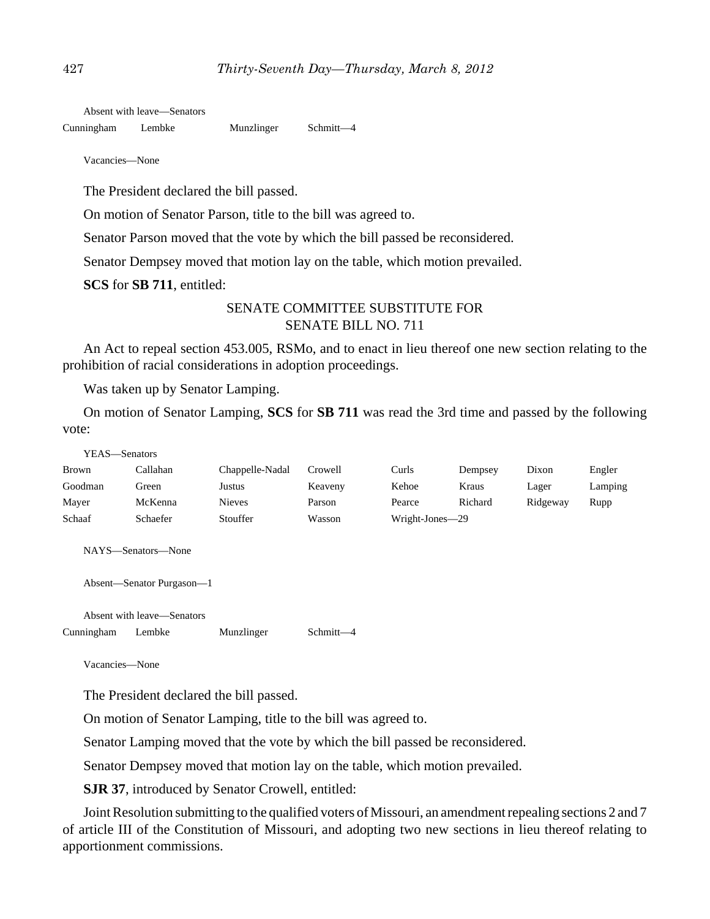Absent with leave—Senators

Cunningham Lembke Munzlinger Schmitt—4

Vacancies—None

The President declared the bill passed.

On motion of Senator Parson, title to the bill was agreed to.

Senator Parson moved that the vote by which the bill passed be reconsidered.

Senator Dempsey moved that motion lay on the table, which motion prevailed.

**SCS** for **SB 711**, entitled:

# SENATE COMMITTEE SUBSTITUTE FOR SENATE BILL NO. 711

An Act to repeal section 453.005, RSMo, and to enact in lieu thereof one new section relating to the prohibition of racial considerations in adoption proceedings.

Was taken up by Senator Lamping.

On motion of Senator Lamping, **SCS** for **SB 711** was read the 3rd time and passed by the following vote:

| YEAS—Senators |          |                 |         |                 |         |          |         |
|---------------|----------|-----------------|---------|-----------------|---------|----------|---------|
| <b>Brown</b>  | Callahan | Chappelle-Nadal | Crowell | Curls           | Dempsey | Dixon    | Engler  |
| Goodman       | Green    | Justus          | Keaveny | Kehoe           | Kraus   | Lager    | Lamping |
| Maver         | McKenna  | <b>Nieves</b>   | Parson  | Pearce          | Richard | Ridgeway | Rupp    |
| Schaaf        | Schaefer | Stouffer        | Wasson  | Wright-Jones-29 |         |          |         |

NAYS—Senators—None

Absent—Senator Purgason—1

Absent with leave—Senators

Cunningham Lembke Munzlinger Schmitt—4

Vacancies—None

The President declared the bill passed.

On motion of Senator Lamping, title to the bill was agreed to.

Senator Lamping moved that the vote by which the bill passed be reconsidered.

Senator Dempsey moved that motion lay on the table, which motion prevailed.

**SJR 37**, introduced by Senator Crowell, entitled:

Joint Resolution submitting to the qualified voters of Missouri, an amendment repealing sections 2 and 7 of article III of the Constitution of Missouri, and adopting two new sections in lieu thereof relating to apportionment commissions.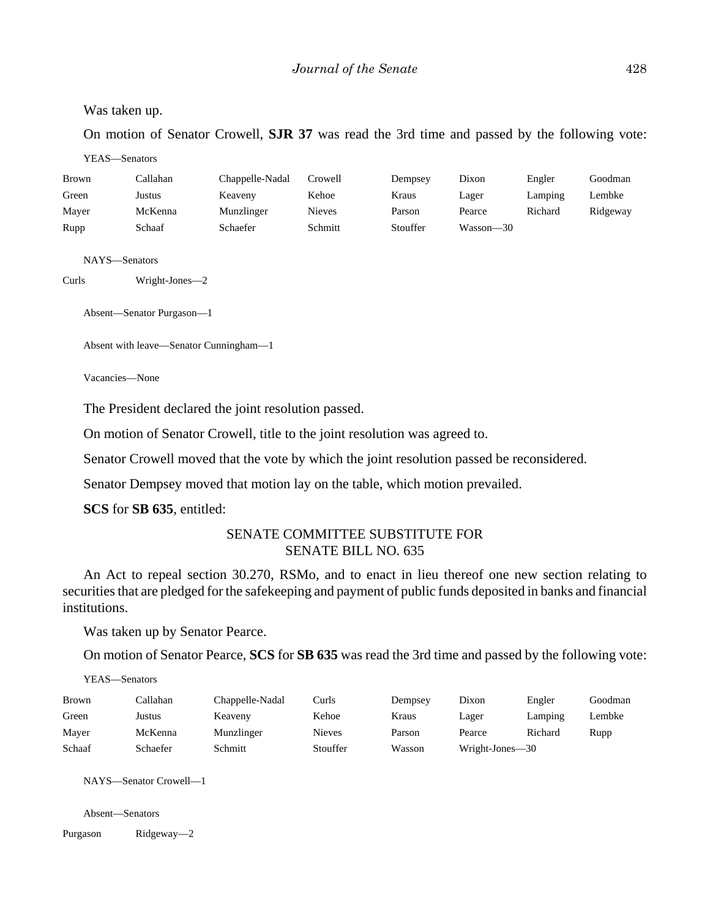#### Was taken up.

On motion of Senator Crowell, **SJR 37** was read the 3rd time and passed by the following vote:

YEAS—Senators

| <b>Brown</b> | Callahan | Chappelle-Nadal | Crowell | Dempsey  | Dixon     | Engler  | Goodman  |
|--------------|----------|-----------------|---------|----------|-----------|---------|----------|
| Green        | Justus   | Keaveny         | Kehoe   | Kraus    | Lager     | Lamping | Lembke   |
| Mayer        | McKenna  | Munzlinger      | Nieves  | Parson   | Pearce    | Richard | Ridgeway |
| Rupp         | Schaaf   | Schaefer        | Schmitt | Stouffer | Wasson—30 |         |          |

NAYS—Senators

Curls Wright-Jones—2

Absent—Senator Purgason—1

Absent with leave—Senator Cunningham—1

Vacancies—None

The President declared the joint resolution passed.

On motion of Senator Crowell, title to the joint resolution was agreed to.

Senator Crowell moved that the vote by which the joint resolution passed be reconsidered.

Senator Dempsey moved that motion lay on the table, which motion prevailed.

**SCS** for **SB 635**, entitled:

# SENATE COMMITTEE SUBSTITUTE FOR SENATE BILL NO. 635

An Act to repeal section 30.270, RSMo, and to enact in lieu thereof one new section relating to securities that are pledged for the safekeeping and payment of public funds deposited in banks and financial institutions.

Was taken up by Senator Pearce.

On motion of Senator Pearce, **SCS** for **SB 635** was read the 3rd time and passed by the following vote:

YEAS—Senators

| <b>Brown</b> | Callahan | Chappelle-Nadal | Curls         | Dempsey | Dixon           | Engler  | Goodman |
|--------------|----------|-----------------|---------------|---------|-----------------|---------|---------|
| Green        | Justus   | Keaveny         | Kehoe         | Kraus   | Lager           | Lamping | Lembke  |
| Mayer        | McKenna  | Munzlinger      | <b>Nieves</b> | Parson  | Pearce          | Richard | Rupp    |
| Schaaf       | Schaefer | Schmitt         | Stouffer      | Wasson  | Wright-Jones-30 |         |         |

NAYS—Senator Crowell—1

Absent—Senators

Purgason Ridgeway—2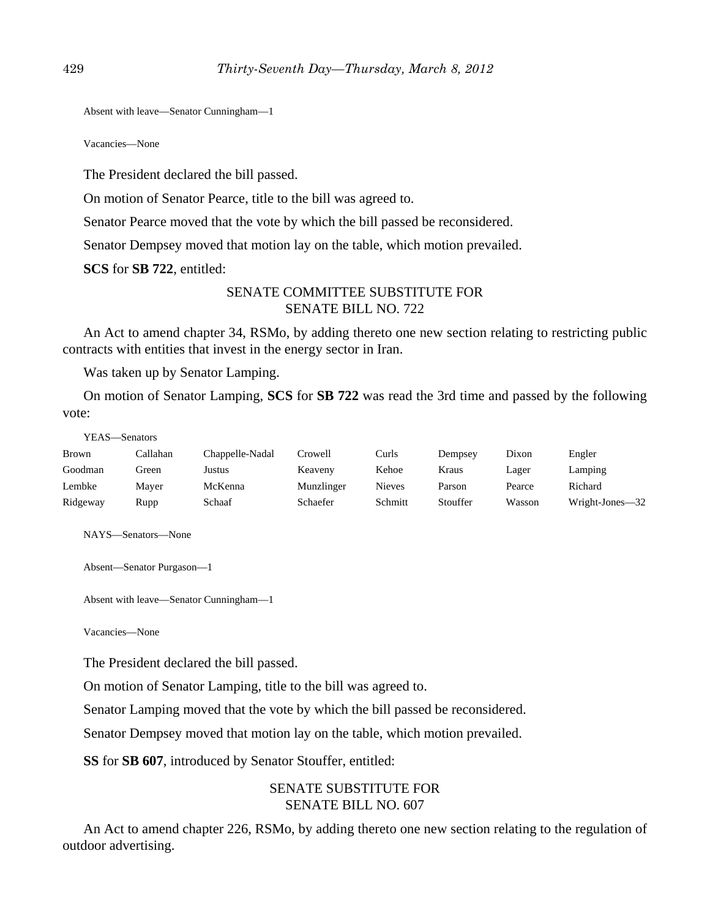Absent with leave—Senator Cunningham—1

Vacancies—None

The President declared the bill passed.

On motion of Senator Pearce, title to the bill was agreed to.

Senator Pearce moved that the vote by which the bill passed be reconsidered.

Senator Dempsey moved that motion lay on the table, which motion prevailed.

**SCS** for **SB 722**, entitled:

## SENATE COMMITTEE SUBSTITUTE FOR SENATE BILL NO. 722

An Act to amend chapter 34, RSMo, by adding thereto one new section relating to restricting public contracts with entities that invest in the energy sector in Iran.

Was taken up by Senator Lamping.

On motion of Senator Lamping, **SCS** for **SB 722** was read the 3rd time and passed by the following vote:

| YEAS—Senators |          |                 |            |               |          |        |                 |
|---------------|----------|-----------------|------------|---------------|----------|--------|-----------------|
| Brown         | Callahan | Chappelle-Nadal | Crowell    | Curls         | Dempsey  | Dixon  | Engler          |
| Goodman       | Green    | Justus          | Keaveny    | Kehoe         | Kraus    | Lager  | Lamping         |
| Lembke        | Mayer    | McKenna         | Munzlinger | <b>Nieves</b> | Parson   | Pearce | Richard         |
| Ridgeway      | Rupp     | Schaaf          | Schaefer   | Schmitt       | Stouffer | Wasson | Wright-Jones-32 |

NAYS—Senators—None

```
Absent—Senator Purgason—1
```
Absent with leave—Senator Cunningham—1

Vacancies—None

The President declared the bill passed.

On motion of Senator Lamping, title to the bill was agreed to.

Senator Lamping moved that the vote by which the bill passed be reconsidered.

Senator Dempsey moved that motion lay on the table, which motion prevailed.

**SS** for **SB 607**, introduced by Senator Stouffer, entitled:

# SENATE SUBSTITUTE FOR SENATE BILL NO. 607

An Act to amend chapter 226, RSMo, by adding thereto one new section relating to the regulation of outdoor advertising.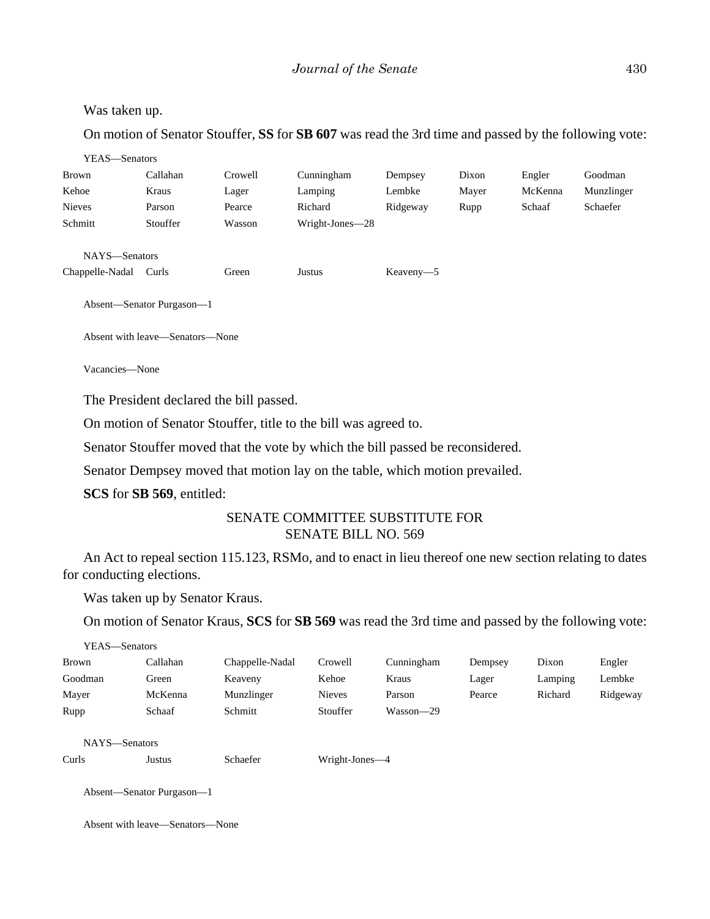## *Journal of the Senate* 430

#### Was taken up.

On motion of Senator Stouffer, **SS** for **SB 607** was read the 3rd time and passed by the following vote:

| YEAS—Senators   |                           |         |                 |           |       |         |            |
|-----------------|---------------------------|---------|-----------------|-----------|-------|---------|------------|
| Brown           | Callahan                  | Crowell | Cunningham      | Dempsey   | Dixon | Engler  | Goodman    |
| Kehoe           | Kraus                     | Lager   | Lamping         | Lembke    | Mayer | McKenna | Munzlinger |
| <b>Nieves</b>   | Parson                    | Pearce  | Richard         | Ridgeway  | Rupp  | Schaaf  | Schaefer   |
| Schmitt         | Stouffer                  | Wasson  | Wright-Jones-28 |           |       |         |            |
| NAYS-Senators   |                           |         |                 |           |       |         |            |
| Chappelle-Nadal | Curls                     | Green   | Justus          | Keaveny-5 |       |         |            |
|                 | Absent—Senator Purgason—1 |         |                 |           |       |         |            |

Absent with leave—Senators—None

Vacancies—None

The President declared the bill passed.

On motion of Senator Stouffer, title to the bill was agreed to.

Senator Stouffer moved that the vote by which the bill passed be reconsidered.

Senator Dempsey moved that motion lay on the table, which motion prevailed.

**SCS** for **SB 569**, entitled:

# SENATE COMMITTEE SUBSTITUTE FOR SENATE BILL NO. 569

An Act to repeal section 115.123, RSMo, and to enact in lieu thereof one new section relating to dates for conducting elections.

Was taken up by Senator Kraus.

On motion of Senator Kraus, **SCS** for **SB 569** was read the 3rd time and passed by the following vote:

| YEAS—Senators |                           |                 |                |            |         |         |          |
|---------------|---------------------------|-----------------|----------------|------------|---------|---------|----------|
| Brown         | Callahan                  | Chappelle-Nadal | Crowell        | Cunningham | Dempsey | Dixon   | Engler   |
| Goodman       | Green                     | Keaveny         | Kehoe          | Kraus      | Lager   | Lamping | Lembke   |
| Mayer         | McKenna                   | Munzlinger      | <b>Nieves</b>  | Parson     | Pearce  | Richard | Ridgeway |
| Rupp          | Schaaf                    | Schmitt         | Stouffer       | Wasson-29  |         |         |          |
|               |                           |                 |                |            |         |         |          |
| NAYS-Senators |                           |                 |                |            |         |         |          |
| Curls         | Justus                    | Schaefer        | Wright-Jones—4 |            |         |         |          |
|               |                           |                 |                |            |         |         |          |
|               | Absent-Senator Purgason-1 |                 |                |            |         |         |          |

Absent with leave—Senators—None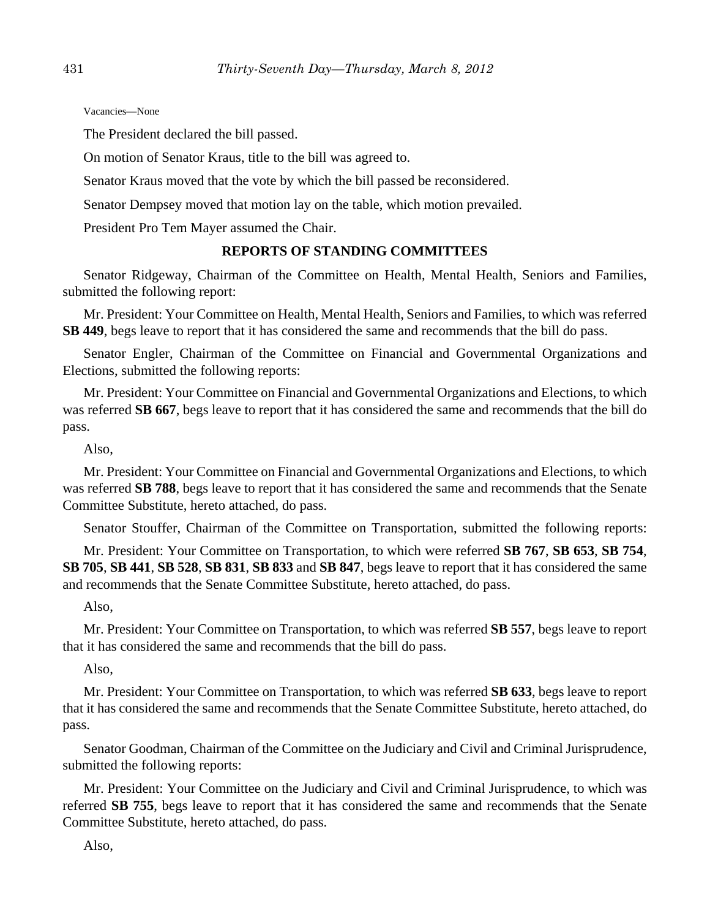Vacancies—None

The President declared the bill passed.

On motion of Senator Kraus, title to the bill was agreed to.

Senator Kraus moved that the vote by which the bill passed be reconsidered.

Senator Dempsey moved that motion lay on the table, which motion prevailed.

President Pro Tem Mayer assumed the Chair.

# **REPORTS OF STANDING COMMITTEES**

Senator Ridgeway, Chairman of the Committee on Health, Mental Health, Seniors and Families, submitted the following report:

Mr. President: Your Committee on Health, Mental Health, Seniors and Families, to which was referred **SB 449**, begs leave to report that it has considered the same and recommends that the bill do pass.

Senator Engler, Chairman of the Committee on Financial and Governmental Organizations and Elections, submitted the following reports:

Mr. President: Your Committee on Financial and Governmental Organizations and Elections, to which was referred **SB 667**, begs leave to report that it has considered the same and recommends that the bill do pass.

Also,

Mr. President: Your Committee on Financial and Governmental Organizations and Elections, to which was referred **SB 788**, begs leave to report that it has considered the same and recommends that the Senate Committee Substitute, hereto attached, do pass.

Senator Stouffer, Chairman of the Committee on Transportation, submitted the following reports:

Mr. President: Your Committee on Transportation, to which were referred **SB 767**, **SB 653**, **SB 754**, **SB 705**, **SB 441**, **SB 528**, **SB 831**, **SB 833** and **SB 847**, begs leave to report that it has considered the same and recommends that the Senate Committee Substitute, hereto attached, do pass.

Also,

Mr. President: Your Committee on Transportation, to which was referred **SB 557**, begs leave to report that it has considered the same and recommends that the bill do pass.

Also,

Mr. President: Your Committee on Transportation, to which was referred **SB 633**, begs leave to report that it has considered the same and recommends that the Senate Committee Substitute, hereto attached, do pass.

Senator Goodman, Chairman of the Committee on the Judiciary and Civil and Criminal Jurisprudence, submitted the following reports:

Mr. President: Your Committee on the Judiciary and Civil and Criminal Jurisprudence, to which was referred **SB 755**, begs leave to report that it has considered the same and recommends that the Senate Committee Substitute, hereto attached, do pass.

Also,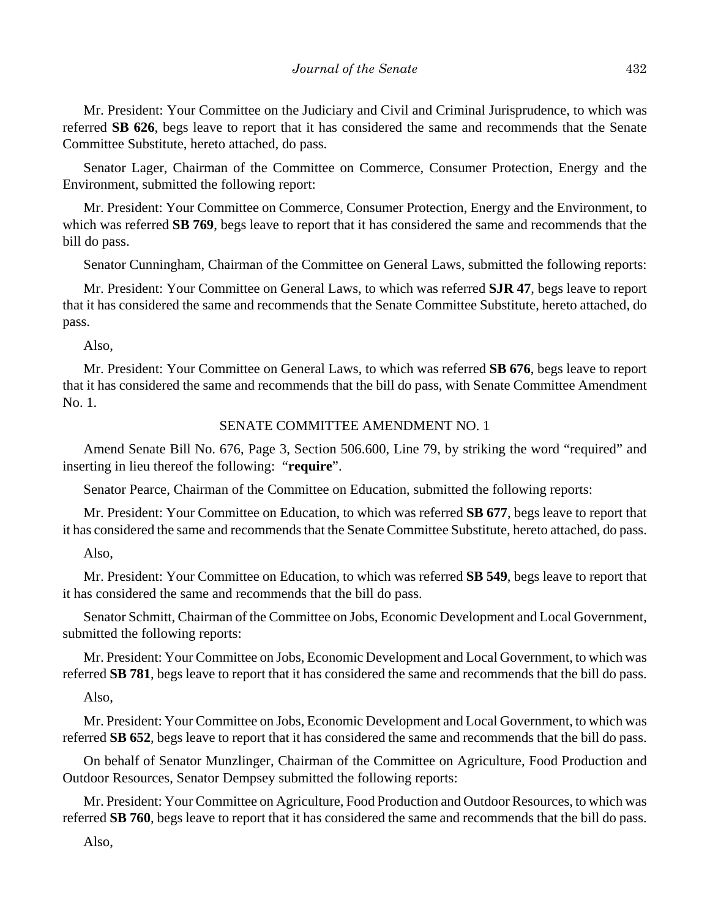Mr. President: Your Committee on the Judiciary and Civil and Criminal Jurisprudence, to which was referred **SB 626**, begs leave to report that it has considered the same and recommends that the Senate Committee Substitute, hereto attached, do pass.

Senator Lager, Chairman of the Committee on Commerce, Consumer Protection, Energy and the Environment, submitted the following report:

Mr. President: Your Committee on Commerce, Consumer Protection, Energy and the Environment, to which was referred **SB 769**, begs leave to report that it has considered the same and recommends that the bill do pass.

Senator Cunningham, Chairman of the Committee on General Laws, submitted the following reports:

Mr. President: Your Committee on General Laws, to which was referred **SJR 47**, begs leave to report that it has considered the same and recommends that the Senate Committee Substitute, hereto attached, do pass.

Also,

Mr. President: Your Committee on General Laws, to which was referred **SB 676**, begs leave to report that it has considered the same and recommends that the bill do pass, with Senate Committee Amendment No. 1.

#### SENATE COMMITTEE AMENDMENT NO. 1

Amend Senate Bill No. 676, Page 3, Section 506.600, Line 79, by striking the word "required" and inserting in lieu thereof the following: "**require**".

Senator Pearce, Chairman of the Committee on Education, submitted the following reports:

Mr. President: Your Committee on Education, to which was referred **SB 677**, begs leave to report that it has considered the same and recommends that the Senate Committee Substitute, hereto attached, do pass.

Also,

Mr. President: Your Committee on Education, to which was referred **SB 549**, begs leave to report that it has considered the same and recommends that the bill do pass.

Senator Schmitt, Chairman of the Committee on Jobs, Economic Development and Local Government, submitted the following reports:

Mr. President: Your Committee on Jobs, Economic Development and Local Government, to which was referred **SB 781**, begs leave to report that it has considered the same and recommends that the bill do pass.

#### Also,

Mr. President: Your Committee on Jobs, Economic Development and Local Government, to which was referred **SB 652**, begs leave to report that it has considered the same and recommends that the bill do pass.

On behalf of Senator Munzlinger, Chairman of the Committee on Agriculture, Food Production and Outdoor Resources, Senator Dempsey submitted the following reports:

Mr. President: Your Committee on Agriculture, Food Production and Outdoor Resources, to which was referred **SB 760**, begs leave to report that it has considered the same and recommends that the bill do pass.

Also,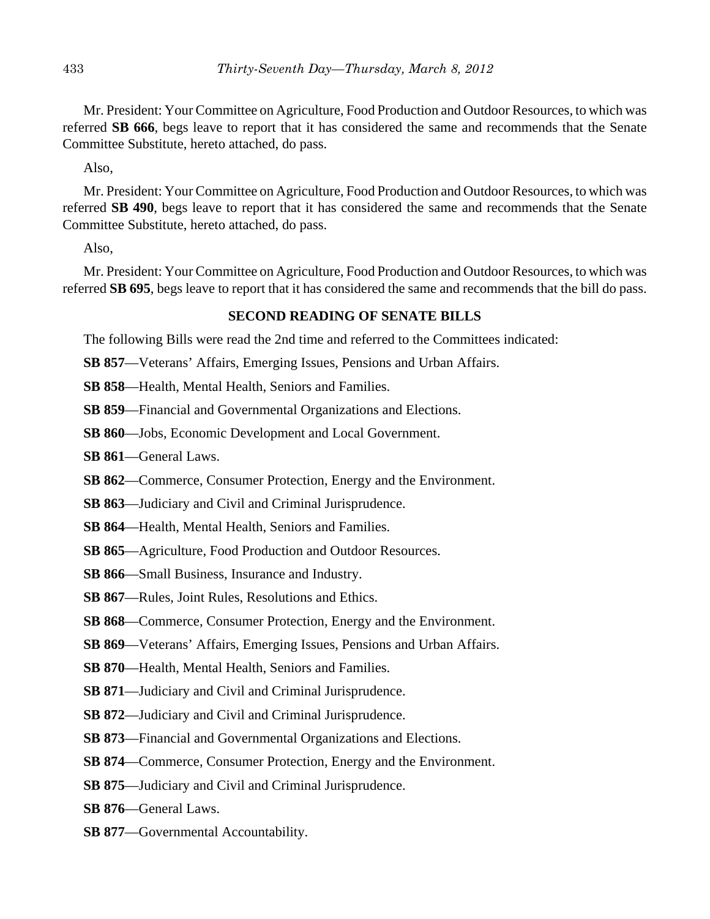Mr. President: Your Committee on Agriculture, Food Production and Outdoor Resources, to which was referred **SB 666**, begs leave to report that it has considered the same and recommends that the Senate Committee Substitute, hereto attached, do pass.

Also,

Mr. President: Your Committee on Agriculture, Food Production and Outdoor Resources, to which was referred **SB 490**, begs leave to report that it has considered the same and recommends that the Senate Committee Substitute, hereto attached, do pass.

Also,

Mr. President: Your Committee on Agriculture, Food Production and Outdoor Resources, to which was referred **SB 695**, begs leave to report that it has considered the same and recommends that the bill do pass.

# **SECOND READING OF SENATE BILLS**

The following Bills were read the 2nd time and referred to the Committees indicated:

**SB 857**—Veterans' Affairs, Emerging Issues, Pensions and Urban Affairs.

**SB 858**—Health, Mental Health, Seniors and Families.

**SB 859**—Financial and Governmental Organizations and Elections.

- **SB 860**—Jobs, Economic Development and Local Government.
- **SB 861**—General Laws.
- **SB 862**—Commerce, Consumer Protection, Energy and the Environment.
- **SB 863**—Judiciary and Civil and Criminal Jurisprudence.
- **SB 864**—Health, Mental Health, Seniors and Families.
- **SB 865**—Agriculture, Food Production and Outdoor Resources.
- **SB 866**—Small Business, Insurance and Industry.
- **SB 867**—Rules, Joint Rules, Resolutions and Ethics.
- **SB 868**—Commerce, Consumer Protection, Energy and the Environment.
- **SB 869**—Veterans' Affairs, Emerging Issues, Pensions and Urban Affairs.
- **SB 870**—Health, Mental Health, Seniors and Families.
- **SB 871**—Judiciary and Civil and Criminal Jurisprudence.
- **SB 872**—Judiciary and Civil and Criminal Jurisprudence.
- **SB 873**—Financial and Governmental Organizations and Elections.
- **SB 874**—Commerce, Consumer Protection, Energy and the Environment.
- **SB 875**—Judiciary and Civil and Criminal Jurisprudence.
- **SB 876**—General Laws.
- **SB 877**—Governmental Accountability.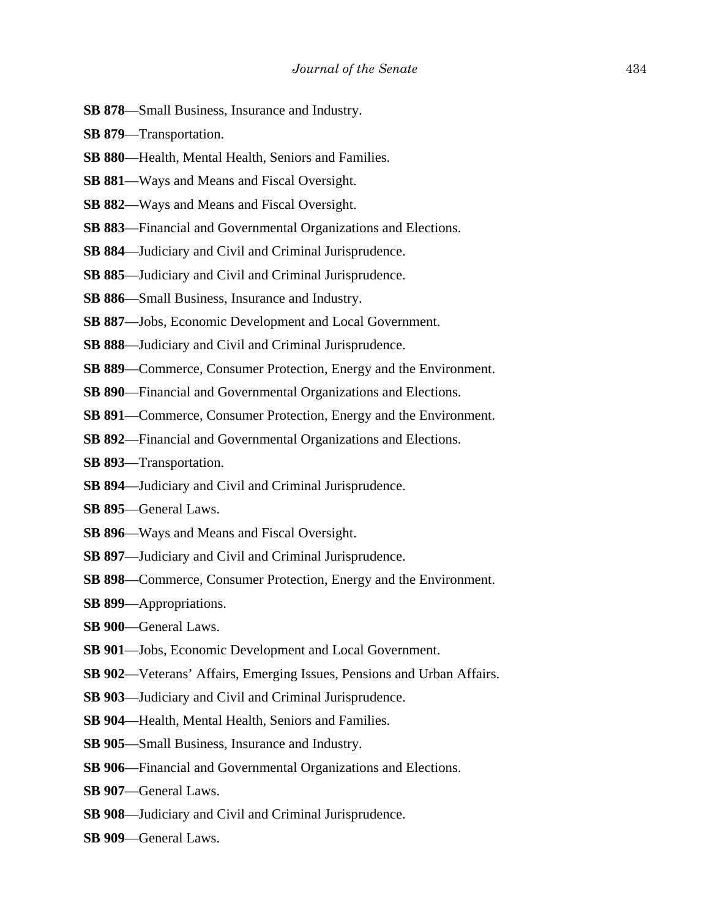- **SB 878**—Small Business, Insurance and Industry.
- **SB 879**—Transportation.
- **SB 880**—Health, Mental Health, Seniors and Families.
- **SB 881**—Ways and Means and Fiscal Oversight.
- **SB 882**—Ways and Means and Fiscal Oversight.
- **SB 883**—Financial and Governmental Organizations and Elections.
- **SB 884**—Judiciary and Civil and Criminal Jurisprudence.
- **SB 885**—Judiciary and Civil and Criminal Jurisprudence.
- **SB 886**—Small Business, Insurance and Industry.
- **SB 887**—Jobs, Economic Development and Local Government.
- **SB 888**—Judiciary and Civil and Criminal Jurisprudence.
- **SB 889**—Commerce, Consumer Protection, Energy and the Environment.
- **SB 890**—Financial and Governmental Organizations and Elections.
- **SB 891**—Commerce, Consumer Protection, Energy and the Environment.
- **SB 892**—Financial and Governmental Organizations and Elections.
- **SB 893**—Transportation.
- **SB 894**—Judiciary and Civil and Criminal Jurisprudence.
- **SB 895**—General Laws.
- **SB 896**—Ways and Means and Fiscal Oversight.
- **SB 897**—Judiciary and Civil and Criminal Jurisprudence.
- **SB 898**—Commerce, Consumer Protection, Energy and the Environment.
- **SB 899**—Appropriations.
- **SB 900**—General Laws.
- **SB 901**—Jobs, Economic Development and Local Government.
- **SB 902**—Veterans' Affairs, Emerging Issues, Pensions and Urban Affairs.
- **SB 903**—Judiciary and Civil and Criminal Jurisprudence.
- **SB 904**—Health, Mental Health, Seniors and Families.
- **SB 905**—Small Business, Insurance and Industry.
- **SB 906**—Financial and Governmental Organizations and Elections.
- **SB 907**—General Laws.
- **SB 908**—Judiciary and Civil and Criminal Jurisprudence.
- **SB 909**—General Laws.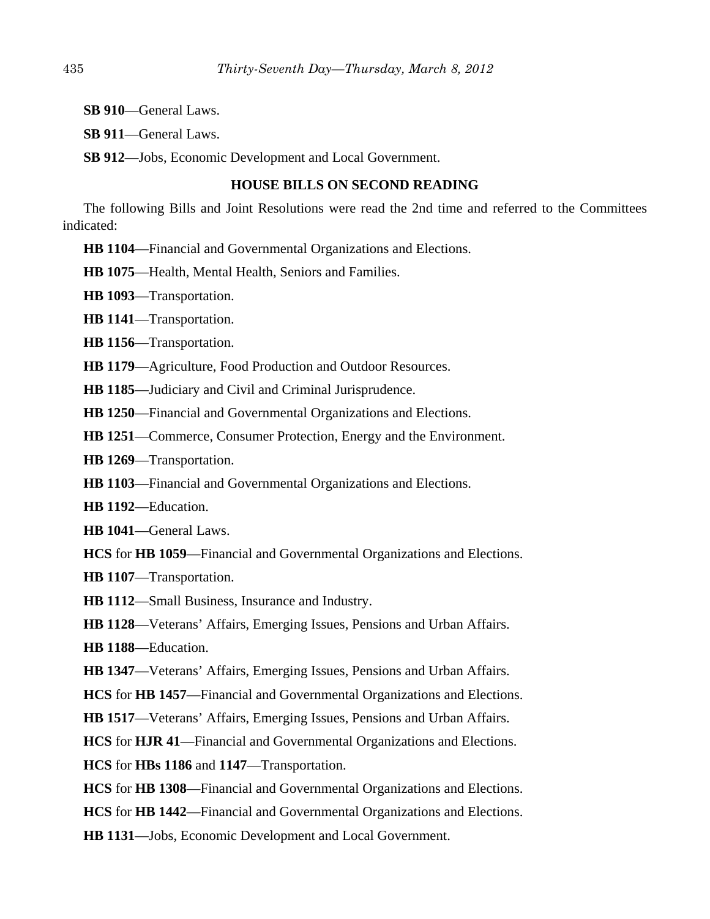**SB 910**—General Laws.

**SB 911**—General Laws.

**SB 912**—Jobs, Economic Development and Local Government.

# **HOUSE BILLS ON SECOND READING**

The following Bills and Joint Resolutions were read the 2nd time and referred to the Committees indicated:

**HB 1104**—Financial and Governmental Organizations and Elections.

**HB 1075**—Health, Mental Health, Seniors and Families.

**HB 1093**—Transportation.

**HB 1141**—Transportation.

**HB 1156**—Transportation.

**HB 1179**—Agriculture, Food Production and Outdoor Resources.

**HB 1185**—Judiciary and Civil and Criminal Jurisprudence.

**HB 1250**—Financial and Governmental Organizations and Elections.

**HB 1251**—Commerce, Consumer Protection, Energy and the Environment.

**HB 1269**—Transportation.

**HB 1103**—Financial and Governmental Organizations and Elections.

**HB 1192**—Education.

**HB 1041**—General Laws.

**HCS** for **HB 1059**—Financial and Governmental Organizations and Elections.

**HB 1107**—Transportation.

**HB 1112**—Small Business, Insurance and Industry.

**HB 1128**—Veterans' Affairs, Emerging Issues, Pensions and Urban Affairs.

**HB 1188**—Education.

**HB 1347**—Veterans' Affairs, Emerging Issues, Pensions and Urban Affairs.

**HCS** for **HB 1457**—Financial and Governmental Organizations and Elections.

**HB 1517**—Veterans' Affairs, Emerging Issues, Pensions and Urban Affairs.

**HCS** for **HJR 41**—Financial and Governmental Organizations and Elections.

**HCS** for **HBs 1186** and **1147**—Transportation.

**HCS** for **HB 1308**—Financial and Governmental Organizations and Elections.

**HCS** for **HB 1442**—Financial and Governmental Organizations and Elections.

**HB 1131**—Jobs, Economic Development and Local Government.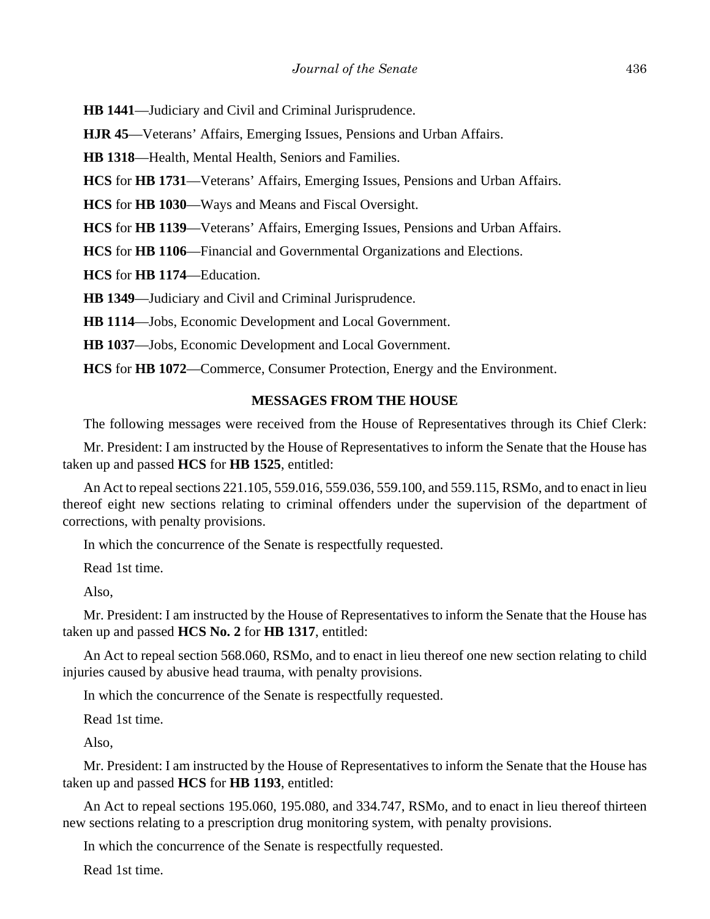**HB 1441**—Judiciary and Civil and Criminal Jurisprudence.

**HJR 45**—Veterans' Affairs, Emerging Issues, Pensions and Urban Affairs.

**HB 1318**—Health, Mental Health, Seniors and Families.

**HCS** for **HB 1731**—Veterans' Affairs, Emerging Issues, Pensions and Urban Affairs.

**HCS** for **HB 1030**—Ways and Means and Fiscal Oversight.

**HCS** for **HB 1139**—Veterans' Affairs, Emerging Issues, Pensions and Urban Affairs.

**HCS** for **HB 1106**—Financial and Governmental Organizations and Elections.

**HCS** for **HB 1174**—Education.

**HB 1349**—Judiciary and Civil and Criminal Jurisprudence.

**HB 1114**—Jobs, Economic Development and Local Government.

**HB 1037**—Jobs, Economic Development and Local Government.

**HCS** for **HB 1072**—Commerce, Consumer Protection, Energy and the Environment.

#### **MESSAGES FROM THE HOUSE**

The following messages were received from the House of Representatives through its Chief Clerk:

Mr. President: I am instructed by the House of Representatives to inform the Senate that the House has taken up and passed **HCS** for **HB 1525**, entitled:

An Act to repeal sections 221.105, 559.016, 559.036, 559.100, and 559.115, RSMo, and to enact in lieu thereof eight new sections relating to criminal offenders under the supervision of the department of corrections, with penalty provisions.

In which the concurrence of the Senate is respectfully requested.

Read 1st time.

Also,

Mr. President: I am instructed by the House of Representatives to inform the Senate that the House has taken up and passed **HCS No. 2** for **HB 1317**, entitled:

An Act to repeal section 568.060, RSMo, and to enact in lieu thereof one new section relating to child injuries caused by abusive head trauma, with penalty provisions.

In which the concurrence of the Senate is respectfully requested.

Read 1st time.

Also,

Mr. President: I am instructed by the House of Representatives to inform the Senate that the House has taken up and passed **HCS** for **HB 1193**, entitled:

An Act to repeal sections 195.060, 195.080, and 334.747, RSMo, and to enact in lieu thereof thirteen new sections relating to a prescription drug monitoring system, with penalty provisions.

In which the concurrence of the Senate is respectfully requested.

Read 1st time.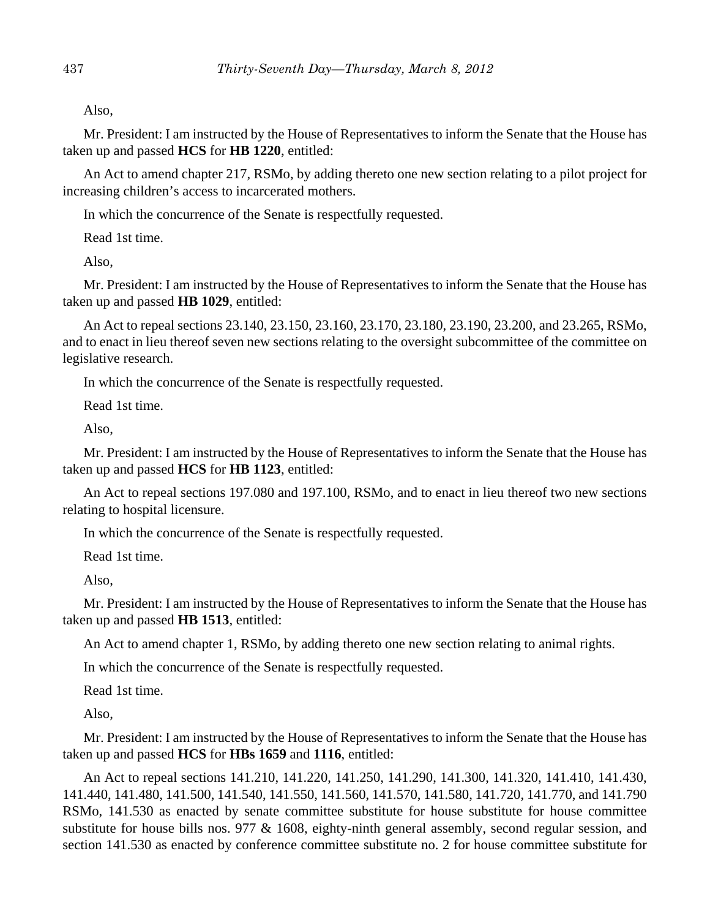Also,

Mr. President: I am instructed by the House of Representatives to inform the Senate that the House has taken up and passed **HCS** for **HB 1220**, entitled:

An Act to amend chapter 217, RSMo, by adding thereto one new section relating to a pilot project for increasing children's access to incarcerated mothers.

In which the concurrence of the Senate is respectfully requested.

Read 1st time.

Also,

Mr. President: I am instructed by the House of Representatives to inform the Senate that the House has taken up and passed **HB 1029**, entitled:

An Act to repeal sections 23.140, 23.150, 23.160, 23.170, 23.180, 23.190, 23.200, and 23.265, RSMo, and to enact in lieu thereof seven new sections relating to the oversight subcommittee of the committee on legislative research.

In which the concurrence of the Senate is respectfully requested.

Read 1st time.

Also,

Mr. President: I am instructed by the House of Representatives to inform the Senate that the House has taken up and passed **HCS** for **HB 1123**, entitled:

An Act to repeal sections 197.080 and 197.100, RSMo, and to enact in lieu thereof two new sections relating to hospital licensure.

In which the concurrence of the Senate is respectfully requested.

Read 1st time.

Also,

Mr. President: I am instructed by the House of Representatives to inform the Senate that the House has taken up and passed **HB 1513**, entitled:

An Act to amend chapter 1, RSMo, by adding thereto one new section relating to animal rights.

In which the concurrence of the Senate is respectfully requested.

Read 1st time.

Also,

Mr. President: I am instructed by the House of Representatives to inform the Senate that the House has taken up and passed **HCS** for **HBs 1659** and **1116**, entitled:

An Act to repeal sections 141.210, 141.220, 141.250, 141.290, 141.300, 141.320, 141.410, 141.430, 141.440, 141.480, 141.500, 141.540, 141.550, 141.560, 141.570, 141.580, 141.720, 141.770, and 141.790 RSMo, 141.530 as enacted by senate committee substitute for house substitute for house committee substitute for house bills nos. 977 & 1608, eighty-ninth general assembly, second regular session, and section 141.530 as enacted by conference committee substitute no. 2 for house committee substitute for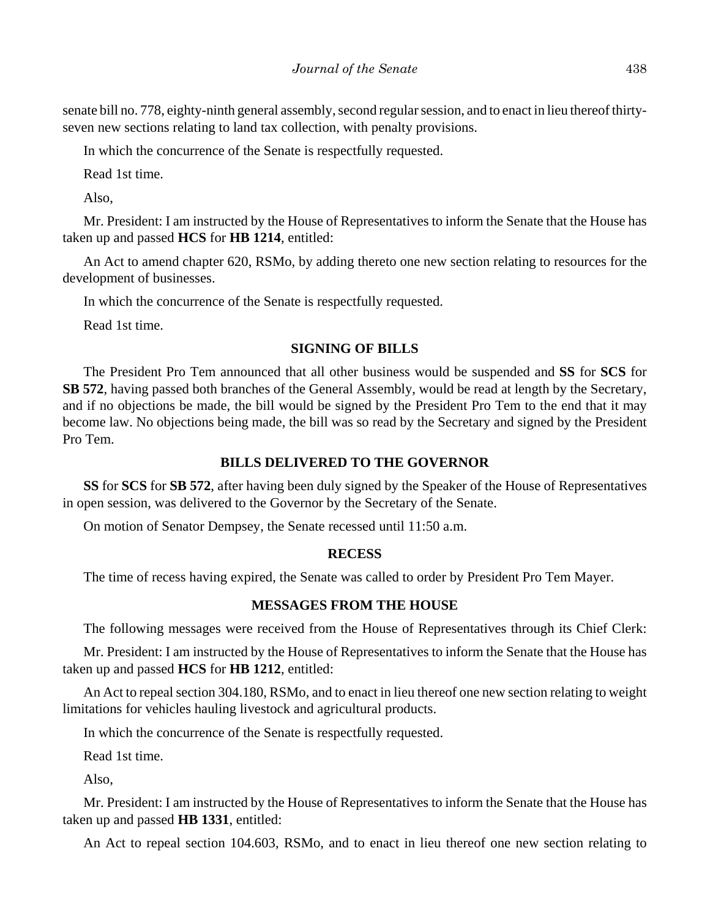senate bill no. 778, eighty-ninth general assembly, second regular session, and to enact in lieu thereof thirtyseven new sections relating to land tax collection, with penalty provisions.

In which the concurrence of the Senate is respectfully requested.

Read 1st time.

Also,

Mr. President: I am instructed by the House of Representatives to inform the Senate that the House has taken up and passed **HCS** for **HB 1214**, entitled:

An Act to amend chapter 620, RSMo, by adding thereto one new section relating to resources for the development of businesses.

In which the concurrence of the Senate is respectfully requested.

Read 1st time.

# **SIGNING OF BILLS**

The President Pro Tem announced that all other business would be suspended and **SS** for **SCS** for **SB 572**, having passed both branches of the General Assembly, would be read at length by the Secretary, and if no objections be made, the bill would be signed by the President Pro Tem to the end that it may become law. No objections being made, the bill was so read by the Secretary and signed by the President Pro Tem.

# **BILLS DELIVERED TO THE GOVERNOR**

**SS** for **SCS** for **SB 572**, after having been duly signed by the Speaker of the House of Representatives in open session, was delivered to the Governor by the Secretary of the Senate.

On motion of Senator Dempsey, the Senate recessed until 11:50 a.m.

# **RECESS**

The time of recess having expired, the Senate was called to order by President Pro Tem Mayer.

# **MESSAGES FROM THE HOUSE**

The following messages were received from the House of Representatives through its Chief Clerk:

Mr. President: I am instructed by the House of Representatives to inform the Senate that the House has taken up and passed **HCS** for **HB 1212**, entitled:

An Act to repeal section 304.180, RSMo, and to enact in lieu thereof one new section relating to weight limitations for vehicles hauling livestock and agricultural products.

In which the concurrence of the Senate is respectfully requested.

Read 1st time.

Also,

Mr. President: I am instructed by the House of Representatives to inform the Senate that the House has taken up and passed **HB 1331**, entitled:

An Act to repeal section 104.603, RSMo, and to enact in lieu thereof one new section relating to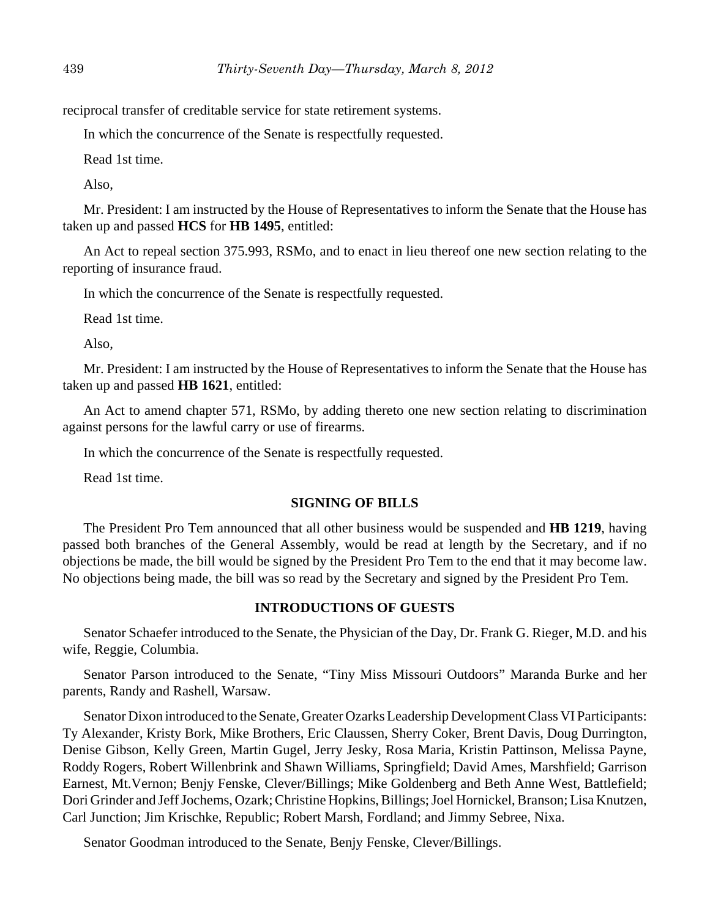reciprocal transfer of creditable service for state retirement systems.

In which the concurrence of the Senate is respectfully requested.

Read 1st time.

Also,

Mr. President: I am instructed by the House of Representatives to inform the Senate that the House has taken up and passed **HCS** for **HB 1495**, entitled:

An Act to repeal section 375.993, RSMo, and to enact in lieu thereof one new section relating to the reporting of insurance fraud.

In which the concurrence of the Senate is respectfully requested.

Read 1st time.

Also,

Mr. President: I am instructed by the House of Representatives to inform the Senate that the House has taken up and passed **HB 1621**, entitled:

An Act to amend chapter 571, RSMo, by adding thereto one new section relating to discrimination against persons for the lawful carry or use of firearms.

In which the concurrence of the Senate is respectfully requested.

Read 1st time.

#### **SIGNING OF BILLS**

The President Pro Tem announced that all other business would be suspended and **HB 1219**, having passed both branches of the General Assembly, would be read at length by the Secretary, and if no objections be made, the bill would be signed by the President Pro Tem to the end that it may become law. No objections being made, the bill was so read by the Secretary and signed by the President Pro Tem.

## **INTRODUCTIONS OF GUESTS**

Senator Schaefer introduced to the Senate, the Physician of the Day, Dr. Frank G. Rieger, M.D. and his wife, Reggie, Columbia.

Senator Parson introduced to the Senate, "Tiny Miss Missouri Outdoors" Maranda Burke and her parents, Randy and Rashell, Warsaw.

Senator Dixon introduced to the Senate, Greater Ozarks Leadership Development Class VI Participants: Ty Alexander, Kristy Bork, Mike Brothers, Eric Claussen, Sherry Coker, Brent Davis, Doug Durrington, Denise Gibson, Kelly Green, Martin Gugel, Jerry Jesky, Rosa Maria, Kristin Pattinson, Melissa Payne, Roddy Rogers, Robert Willenbrink and Shawn Williams, Springfield; David Ames, Marshfield; Garrison Earnest, Mt.Vernon; Benjy Fenske, Clever/Billings; Mike Goldenberg and Beth Anne West, Battlefield; Dori Grinder and Jeff Jochems, Ozark; Christine Hopkins, Billings; Joel Hornickel, Branson; Lisa Knutzen, Carl Junction; Jim Krischke, Republic; Robert Marsh, Fordland; and Jimmy Sebree, Nixa.

Senator Goodman introduced to the Senate, Benjy Fenske, Clever/Billings.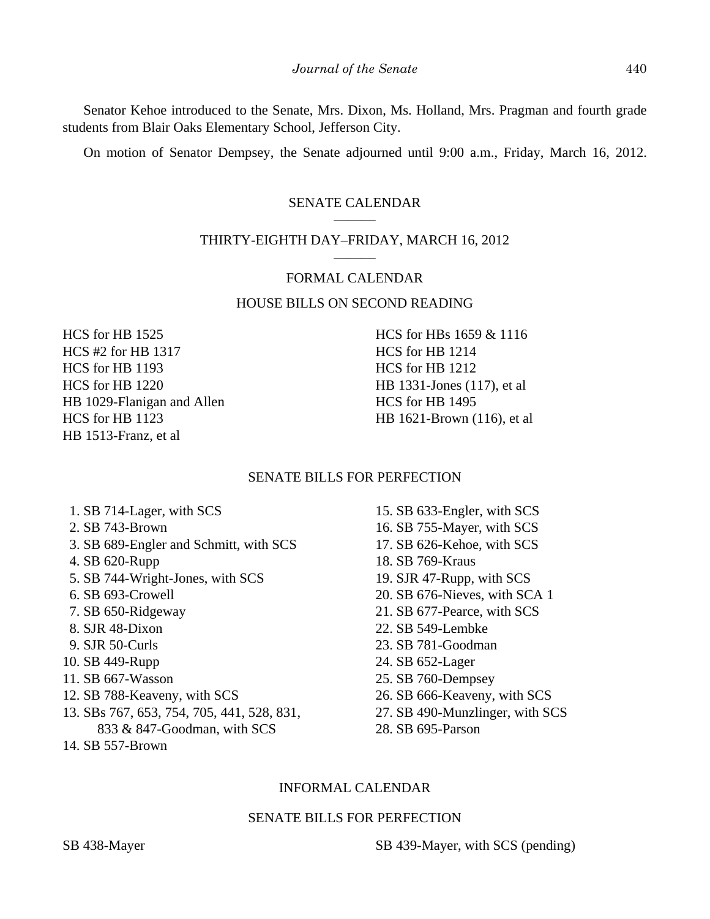Senator Kehoe introduced to the Senate, Mrs. Dixon, Ms. Holland, Mrs. Pragman and fourth grade students from Blair Oaks Elementary School, Jefferson City.

On motion of Senator Dempsey, the Senate adjourned until 9:00 a.m., Friday, March 16, 2012.

## SENATE CALENDAR

## THIRTY-EIGHTH DAY–FRIDAY, MARCH 16, 2012

#### FORMAL CALENDAR

# HOUSE BILLS ON SECOND READING

HCS for HB 1525 HCS #2 for HB 1317 HCS for HB 1193 HCS for HB 1220 HB 1029-Flanigan and Allen HCS for HB 1123 HB 1513-Franz, et al

HCS for HBs 1659 & 1116 HCS for HB 1214 HCS for HB 1212 HB 1331-Jones (117), et al HCS for HB 1495 HB 1621-Brown (116), et al

#### SENATE BILLS FOR PERFECTION

- 1. SB 714-Lager, with SCS
- 2. SB 743-Brown
- 3. SB 689-Engler and Schmitt, with SCS
- 4. SB 620-Rupp
- 5. SB 744-Wright-Jones, with SCS
- 6. SB 693-Crowell
- 7. SB 650-Ridgeway
- 8. SJR 48-Dixon
- 9. SJR 50-Curls
- 10. SB 449-Rupp
- 11. SB 667-Wasson
- 12. SB 788-Keaveny, with SCS
- 13. SBs 767, 653, 754, 705, 441, 528, 831, 833 & 847-Goodman, with SCS
- 14. SB 557-Brown
- 15. SB 633-Engler, with SCS
- 16. SB 755-Mayer, with SCS
- 17. SB 626-Kehoe, with SCS
- 18. SB 769-Kraus
- 19. SJR 47-Rupp, with SCS
- 20. SB 676-Nieves, with SCA 1
- 21. SB 677-Pearce, with SCS
- 22. SB 549-Lembke
- 23. SB 781-Goodman
- 24. SB 652-Lager
- 25. SB 760-Dempsey
- 26. SB 666-Keaveny, with SCS
- 27. SB 490-Munzlinger, with SCS
- 28. SB 695-Parson

### INFORMAL CALENDAR

### SENATE BILLS FOR PERFECTION

SB 438-Mayer SB 439-Mayer, with SCS (pending)